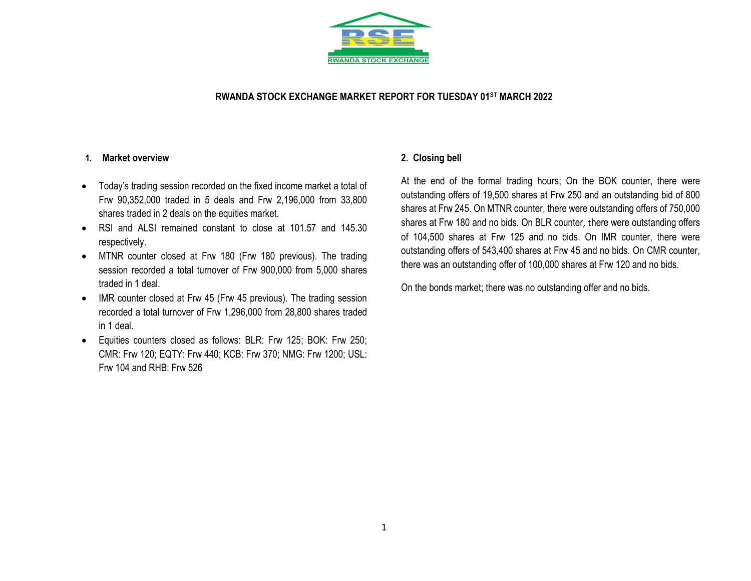

### **RWANDA STOCK EXCHANGE MARKET REPORT FOR TUESDAY 01ST MARCH 2022**

#### **1. Market overview**

- Today's trading session recorded on the fixed income market a total of Frw 90,352,000 traded in 5 deals and Frw 2,196,000 from 33,800 shares traded in 2 deals on the equities market.
- RSI and ALSI remained constant to close at 101.57 and 145.30 respectively.
- MTNR counter closed at Frw 180 (Frw 180 previous). The trading session recorded a total turnover of Frw 900,000 from 5,000 shares traded in 1 deal.
- IMR counter closed at Frw 45 (Frw 45 previous). The trading session recorded a total turnover of Frw 1,296,000 from 28,800 shares traded in 1 deal.
- Equities counters closed as follows: BLR: Frw 125; BOK: Frw 250; CMR: Frw 120; EQTY: Frw 440; KCB: Frw 370; NMG: Frw 1200; USL: Frw 104 and RHB: Frw 526

### **2. Closing bell**

At the end of the formal trading hours; On the BOK counter, there were outstanding offers of 19,500 shares at Frw 250 and an outstanding bid of 800 shares at Frw 245. On MTNR counter, there were outstanding offers of 750,000 shares at Frw 180 and no bids. On BLR counter, there were outstanding offers of 104,500 shares at Frw 125 and no bids. On IMR counter, there were outstanding offers of 543,400 shares at Frw 45 and no bids. On CMR counter, there was an outstanding offer of 100,000 shares at Frw 120 and no bids.

On the bonds market; there was no outstanding offer and no bids.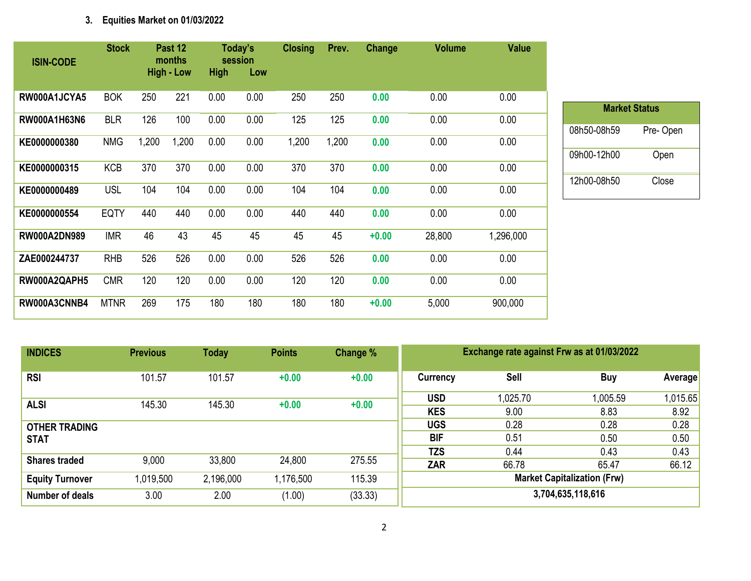## **3. Equities Market on 01/03/2022**

| <b>ISIN-CODE</b>    | <b>Stock</b> |       | Past 12<br>months |             | Today's<br>session | <b>Closing</b> | Prev. | Change  | <b>Volume</b> | <b>Value</b> |
|---------------------|--------------|-------|-------------------|-------------|--------------------|----------------|-------|---------|---------------|--------------|
|                     |              |       | <b>High - Low</b> | <b>High</b> | Low                |                |       |         |               |              |
| RW000A1JCYA5        | <b>BOK</b>   | 250   | 221               | 0.00        | 0.00               | 250            | 250   | 0.00    | 0.00          | 0.00         |
| RW000A1H63N6        | <b>BLR</b>   | 126   | 100               | 0.00        | 0.00               | 125            | 125   | 0.00    | 0.00          | 0.00         |
| KE0000000380        | <b>NMG</b>   | 1,200 | 1,200             | 0.00        | 0.00               | 1,200          | 1,200 | 0.00    | 0.00          | 0.00         |
| KE0000000315        | <b>KCB</b>   | 370   | 370               | 0.00        | 0.00               | 370            | 370   | 0.00    | 0.00          | 0.00         |
| KE0000000489        | <b>USL</b>   | 104   | 104               | 0.00        | 0.00               | 104            | 104   | 0.00    | 0.00          | 0.00         |
| KE0000000554        | <b>EQTY</b>  | 440   | 440               | 0.00        | 0.00               | 440            | 440   | 0.00    | 0.00          | 0.00         |
| <b>RW000A2DN989</b> | <b>IMR</b>   | 46    | 43                | 45          | 45                 | 45             | 45    | $+0.00$ | 28,800        | 1,296,000    |
| ZAE000244737        | <b>RHB</b>   | 526   | 526               | 0.00        | 0.00               | 526            | 526   | 0.00    | 0.00          | 0.00         |
| RW000A2QAPH5        | <b>CMR</b>   | 120   | 120               | 0.00        | 0.00               | 120            | 120   | 0.00    | 0.00          | 0.00         |
| RW000A3CNNB4        | <b>MTNR</b>  | 269   | 175               | 180         | 180                | 180            | 180   | $+0.00$ | 5,000         | 900,000      |

| <b>INDICES</b>         | <b>Previous</b> | <b>Points</b><br>Today<br>Change % |           |         |                                    | Exchange rate against Frw as at 01/03/2022 |            |         |  |  |  |
|------------------------|-----------------|------------------------------------|-----------|---------|------------------------------------|--------------------------------------------|------------|---------|--|--|--|
| <b>RSI</b>             | 101.57          | 101.57                             | $+0.00$   | $+0.00$ | Currency                           | <b>Sell</b>                                | <b>Buy</b> | Averag  |  |  |  |
|                        |                 |                                    |           |         | <b>USD</b>                         | 1,025.70                                   | 1,005.59   | 1,015.6 |  |  |  |
| <b>ALSI</b>            | 145.30          | 145.30                             | $+0.00$   | $+0.00$ | <b>KES</b>                         | 9.00                                       | 8.83       | 8.92    |  |  |  |
| <b>OTHER TRADING</b>   |                 |                                    |           |         | <b>UGS</b>                         | 0.28                                       | 0.28       | 0.28    |  |  |  |
| <b>STAT</b>            |                 |                                    |           |         | <b>BIF</b>                         | 0.51                                       | 0.50       | 0.50    |  |  |  |
|                        |                 |                                    |           |         | <b>TZS</b>                         | 0.44                                       | 0.43       | 0.43    |  |  |  |
| <b>Shares traded</b>   | 9,000           | 33,800                             | 24,800    | 275.55  | ZAR                                | 66.78                                      | 65.47      | 66.12   |  |  |  |
| <b>Equity Turnover</b> | 1,019,500       | 2,196,000                          | 1,176,500 | 115.39  | <b>Market Capitalization (Frw)</b> |                                            |            |         |  |  |  |
| <b>Number of deals</b> | 3.00            | 2.00                               | (1.00)    | (33.33) | 3,704,635,118,616                  |                                            |            |         |  |  |  |

**Market Status**

08h50-08h59 Pre- Open

09h00-12h00 Open

12h00-08h50 Close

**Average** 

1,015.65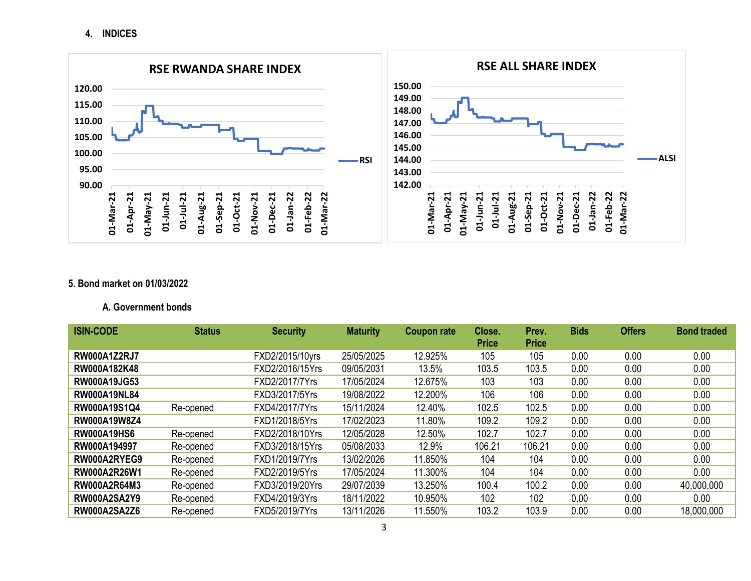**4. INDICES**



### **5. Bond market on 01/03/2022**

### **A. Government bonds**

| <b>ISIN-CODE</b>    | <b>Status</b> | <b>Security</b> | <b>Maturity</b> | <b>Coupon rate</b> | Close.       | Prev.        | <b>Bids</b> | <b>Offers</b> | <b>Bond traded</b> |
|---------------------|---------------|-----------------|-----------------|--------------------|--------------|--------------|-------------|---------------|--------------------|
|                     |               |                 |                 |                    | <b>Price</b> | <b>Price</b> |             |               |                    |
| <b>RW000A1Z2RJ7</b> |               | FXD2/2015/10yrs | 25/05/2025      | 12.925%            | 105          | 105          | 0.00        | 0.00          | 0.00               |
| RW000A182K48        |               | FXD2/2016/15Yrs | 09/05/2031      | 13.5%              | 103.5        | 103.5        | 0.00        | 0.00          | 0.00               |
| <b>RW000A19JG53</b> |               | FXD2/2017/7Yrs  | 17/05/2024      | 12.675%            | 103          | 103          | 0.00        | 0.00          | 0.00               |
| <b>RW000A19NL84</b> |               | FXD3/2017/5Yrs  | 19/08/2022      | 12.200%            | 106          | 106          | 0.00        | 0.00          | 0.00               |
| RW000A19S1Q4        | Re-opened     | FXD4/2017/7Yrs  | 15/11/2024      | 12.40%             | 102.5        | 102.5        | 0.00        | 0.00          | 0.00               |
| RW000A19W8Z4        |               | FXD1/2018/5Yrs  | 17/02/2023      | 11.80%             | 109.2        | 109.2        | 0.00        | 0.00          | 0.00               |
| <b>RW000A19HS6</b>  | Re-opened     | FXD2/2018/10Yrs | 12/05/2028      | 12.50%             | 102.7        | 102.7        | 0.00        | 0.00          | 0.00               |
| RW000A194997        | Re-opened     | FXD3/2018/15Yrs | 05/08/2033      | 12.9%              | 106.21       | 106.21       | 0.00        | 0.00          | 0.00               |
| RW000A2RYEG9        | Re-opened     | FXD1/2019/7Yrs  | 13/02/2026      | 11.850%            | 104          | 104          | 0.00        | 0.00          | 0.00               |
| RW000A2R26W1        | Re-opened     | FXD2/2019/5Yrs  | 17/05/2024      | 11.300%            | 104          | 104          | 0.00        | 0.00          | 0.00               |
| <b>RW000A2R64M3</b> | Re-opened     | FXD3/2019/20Yrs | 29/07/2039      | 13.250%            | 100.4        | 100.2        | 0.00        | 0.00          | 40,000,000         |
| <b>RW000A2SA2Y9</b> | Re-opened     | FXD4/2019/3Yrs  | 18/11/2022      | 10.950%            | 102          | 102          | 0.00        | 0.00          | 0.00               |
| <b>RW000A2SA2Z6</b> | Re-opened     | FXD5/2019/7Yrs  | 13/11/2026      | 11.550%            | 103.2        | 103.9        | 0.00        | 0.00          | 18,000,000         |